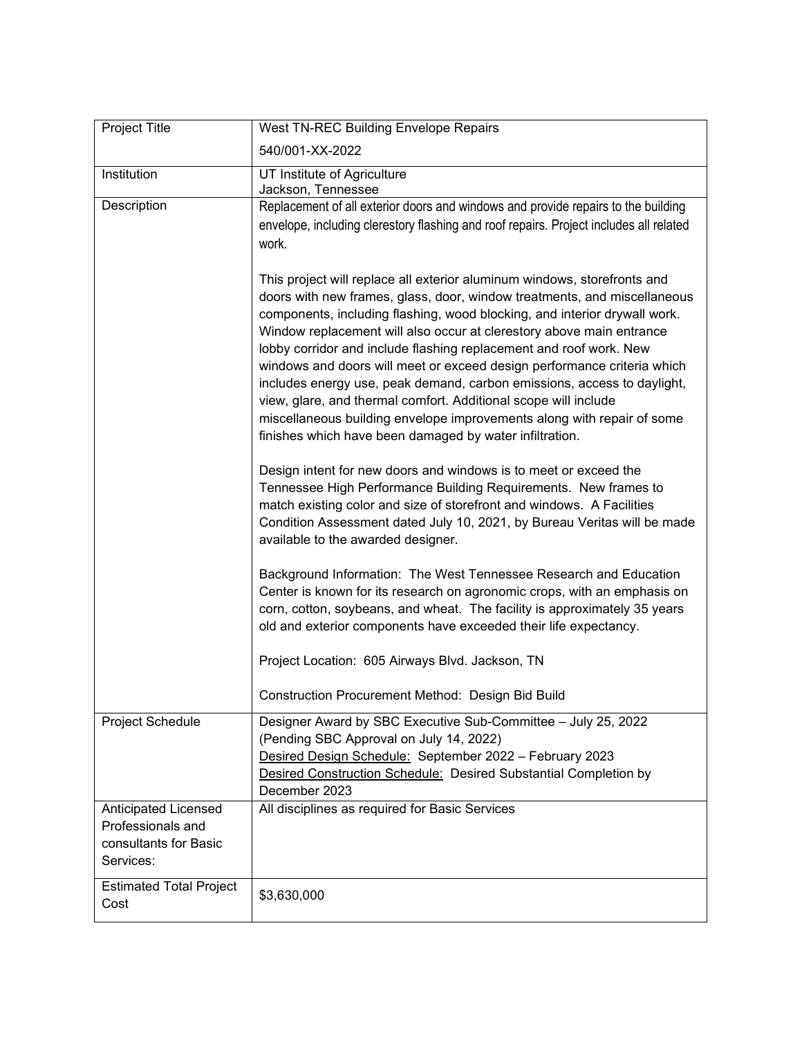| Project Title                                                                   | West TN-REC Building Envelope Repairs                                                                                                                                                                                                                                                                                                                                                                                                                                                                                                                                                                                                                                                                                                         |
|---------------------------------------------------------------------------------|-----------------------------------------------------------------------------------------------------------------------------------------------------------------------------------------------------------------------------------------------------------------------------------------------------------------------------------------------------------------------------------------------------------------------------------------------------------------------------------------------------------------------------------------------------------------------------------------------------------------------------------------------------------------------------------------------------------------------------------------------|
|                                                                                 | 540/001-XX-2022                                                                                                                                                                                                                                                                                                                                                                                                                                                                                                                                                                                                                                                                                                                               |
| Institution                                                                     | UT Institute of Agriculture<br>Jackson, Tennessee                                                                                                                                                                                                                                                                                                                                                                                                                                                                                                                                                                                                                                                                                             |
| Description                                                                     | Replacement of all exterior doors and windows and provide repairs to the building<br>envelope, including clerestory flashing and roof repairs. Project includes all related<br>work.                                                                                                                                                                                                                                                                                                                                                                                                                                                                                                                                                          |
|                                                                                 | This project will replace all exterior aluminum windows, storefronts and<br>doors with new frames, glass, door, window treatments, and miscellaneous<br>components, including flashing, wood blocking, and interior drywall work.<br>Window replacement will also occur at clerestory above main entrance<br>lobby corridor and include flashing replacement and roof work. New<br>windows and doors will meet or exceed design performance criteria which<br>includes energy use, peak demand, carbon emissions, access to daylight,<br>view, glare, and thermal comfort. Additional scope will include<br>miscellaneous building envelope improvements along with repair of some<br>finishes which have been damaged by water infiltration. |
|                                                                                 | Design intent for new doors and windows is to meet or exceed the<br>Tennessee High Performance Building Requirements. New frames to<br>match existing color and size of storefront and windows. A Facilities<br>Condition Assessment dated July 10, 2021, by Bureau Veritas will be made<br>available to the awarded designer.                                                                                                                                                                                                                                                                                                                                                                                                                |
|                                                                                 | Background Information: The West Tennessee Research and Education<br>Center is known for its research on agronomic crops, with an emphasis on<br>corn, cotton, soybeans, and wheat. The facility is approximately 35 years<br>old and exterior components have exceeded their life expectancy.                                                                                                                                                                                                                                                                                                                                                                                                                                                |
|                                                                                 | Project Location: 605 Airways Blvd. Jackson, TN                                                                                                                                                                                                                                                                                                                                                                                                                                                                                                                                                                                                                                                                                               |
|                                                                                 | Construction Procurement Method: Design Bid Build                                                                                                                                                                                                                                                                                                                                                                                                                                                                                                                                                                                                                                                                                             |
| Project Schedule                                                                | Designer Award by SBC Executive Sub-Committee - July 25, 2022<br>(Pending SBC Approval on July 14, 2022)<br>Desired Design Schedule: September 2022 - February 2023<br>Desired Construction Schedule: Desired Substantial Completion by<br>December 2023                                                                                                                                                                                                                                                                                                                                                                                                                                                                                      |
| Anticipated Licensed<br>Professionals and<br>consultants for Basic<br>Services: | All disciplines as required for Basic Services                                                                                                                                                                                                                                                                                                                                                                                                                                                                                                                                                                                                                                                                                                |
| <b>Estimated Total Project</b><br>Cost                                          | \$3,630,000                                                                                                                                                                                                                                                                                                                                                                                                                                                                                                                                                                                                                                                                                                                                   |